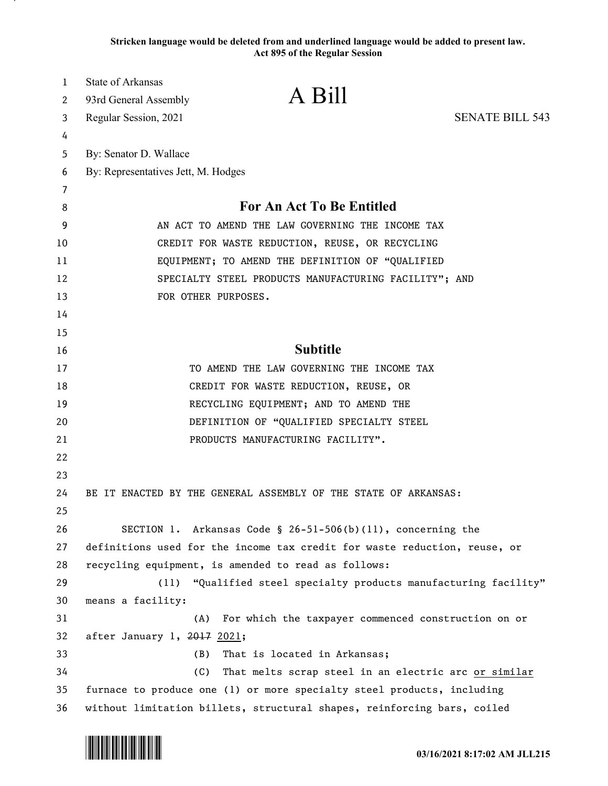**Stricken language would be deleted from and underlined language would be added to present law. Act 895 of the Regular Session**

| $\mathbf{1}$ | <b>State of Arkansas</b>                                                  |                                                      |                        |
|--------------|---------------------------------------------------------------------------|------------------------------------------------------|------------------------|
| 2            | 93rd General Assembly                                                     | A Bill                                               |                        |
| 3            | Regular Session, 2021                                                     |                                                      | <b>SENATE BILL 543</b> |
| 4            |                                                                           |                                                      |                        |
| 5            | By: Senator D. Wallace                                                    |                                                      |                        |
| 6            | By: Representatives Jett, M. Hodges                                       |                                                      |                        |
| 7            |                                                                           |                                                      |                        |
| 8            | For An Act To Be Entitled                                                 |                                                      |                        |
| 9            | AN ACT TO AMEND THE LAW GOVERNING THE INCOME TAX                          |                                                      |                        |
| 10           | CREDIT FOR WASTE REDUCTION, REUSE, OR RECYCLING                           |                                                      |                        |
| 11           | EQUIPMENT; TO AMEND THE DEFINITION OF "QUALIFIED                          |                                                      |                        |
| 12           | SPECIALTY STEEL PRODUCTS MANUFACTURING FACILITY"; AND                     |                                                      |                        |
| 13           | FOR OTHER PURPOSES.                                                       |                                                      |                        |
| 14           |                                                                           |                                                      |                        |
| 15           |                                                                           |                                                      |                        |
| 16           | <b>Subtitle</b>                                                           |                                                      |                        |
| 17           | TO AMEND THE LAW GOVERNING THE INCOME TAX                                 |                                                      |                        |
| 18           | CREDIT FOR WASTE REDUCTION, REUSE, OR                                     |                                                      |                        |
| 19           | RECYCLING EQUIPMENT; AND TO AMEND THE                                     |                                                      |                        |
| 20           | DEFINITION OF "QUALIFIED SPECIALTY STEEL                                  |                                                      |                        |
| 21           |                                                                           | PRODUCTS MANUFACTURING FACILITY".                    |                        |
| 22           |                                                                           |                                                      |                        |
| 23           |                                                                           |                                                      |                        |
| 24           | BE IT ENACTED BY THE GENERAL ASSEMBLY OF THE STATE OF ARKANSAS:           |                                                      |                        |
| 25           |                                                                           |                                                      |                        |
| 26           | SECTION 1. Arkansas Code $\S$ 26-51-506(b)(11), concerning the            |                                                      |                        |
| 27           | definitions used for the income tax credit for waste reduction, reuse, or |                                                      |                        |
| 28           | recycling equipment, is amended to read as follows:                       |                                                      |                        |
| 29           | "Qualified steel specialty products manufacturing facility"<br>(11)       |                                                      |                        |
| 30           | means a facility:                                                         |                                                      |                        |
| 31           | (A)                                                                       | For which the taxpayer commenced construction on or  |                        |
| 32           | after January 1, 2017 2021;                                               |                                                      |                        |
| 33           | That is located in Arkansas;<br>(B)                                       |                                                      |                        |
| 34           | (C)                                                                       | That melts scrap steel in an electric arc or similar |                        |
| 35           | furnace to produce one (1) or more specialty steel products, including    |                                                      |                        |
| 36           | without limitation billets, structural shapes, reinforcing bars, coiled   |                                                      |                        |

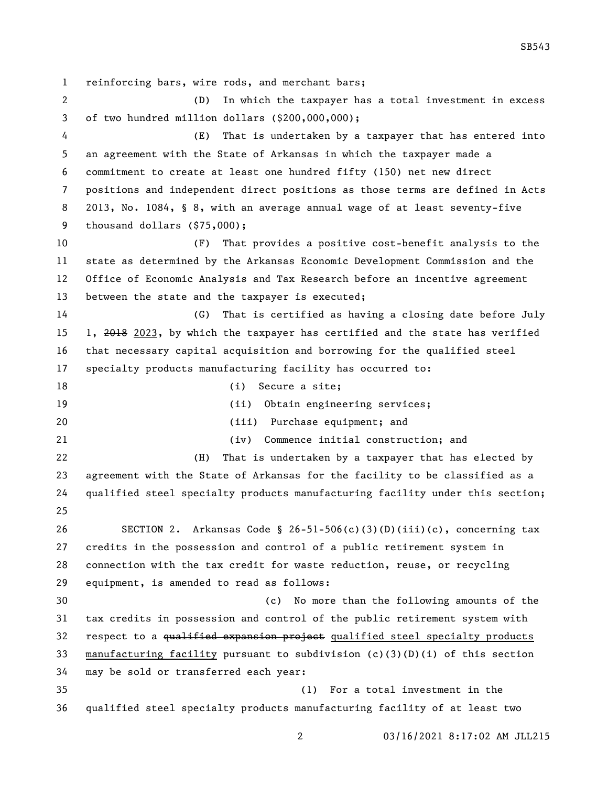reinforcing bars, wire rods, and merchant bars; (D) In which the taxpayer has a total investment in excess of two hundred million dollars (\$200,000,000); (E) That is undertaken by a taxpayer that has entered into an agreement with the State of Arkansas in which the taxpayer made a commitment to create at least one hundred fifty (150) net new direct positions and independent direct positions as those terms are defined in Acts 2013, No. 1084, § 8, with an average annual wage of at least seventy-five thousand dollars (\$75,000); (F) That provides a positive cost-benefit analysis to the state as determined by the Arkansas Economic Development Commission and the Office of Economic Analysis and Tax Research before an incentive agreement between the state and the taxpayer is executed; (G) That is certified as having a closing date before July 1, 2018 2023, by which the taxpayer has certified and the state has verified that necessary capital acquisition and borrowing for the qualified steel specialty products manufacturing facility has occurred to: 18 (i) Secure a site; (ii) Obtain engineering services; (iii) Purchase equipment; and (iv) Commence initial construction; and (H) That is undertaken by a taxpayer that has elected by agreement with the State of Arkansas for the facility to be classified as a qualified steel specialty products manufacturing facility under this section; SECTION 2. Arkansas Code § 26-51-506(c)(3)(D)(iii)(c), concerning tax credits in the possession and control of a public retirement system in connection with the tax credit for waste reduction, reuse, or recycling equipment, is amended to read as follows: (c) No more than the following amounts of the tax credits in possession and control of the public retirement system with 32 respect to a qualified expansion project qualified steel specialty products manufacturing facility pursuant to subdivision (c)(3)(D)(i) of this section may be sold or transferred each year: (1) For a total investment in the qualified steel specialty products manufacturing facility of at least two

03/16/2021 8:17:02 AM JLL215

SB543